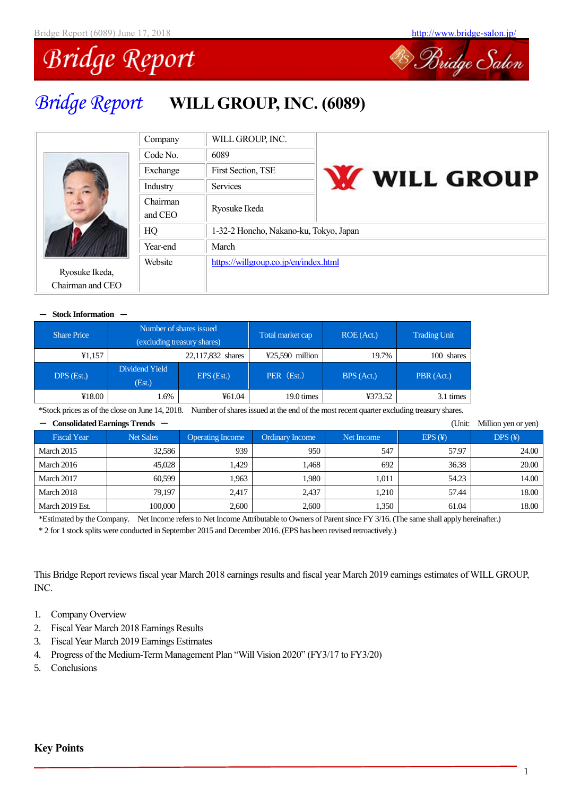

# *Bridge Report* **WILL GROUP, INC. (6089)**

| Company             | WILL GROUP, INC.                       |                     |  |  |  |  |  |  |  |
|---------------------|----------------------------------------|---------------------|--|--|--|--|--|--|--|
| Code No.            | 6089                                   |                     |  |  |  |  |  |  |  |
| Exchange            | <b>First Section, TSE</b>              | <b>W</b> WILL GROUP |  |  |  |  |  |  |  |
| Industry            | <b>Services</b>                        |                     |  |  |  |  |  |  |  |
| Chairman<br>and CEO | Ryosuke Ikeda                          |                     |  |  |  |  |  |  |  |
| HQ                  | 1-32-2 Honcho, Nakano-ku, Tokyo, Japan |                     |  |  |  |  |  |  |  |
| Year-end            | March                                  |                     |  |  |  |  |  |  |  |
| Website             | https://willgroup.co.jp/en/index.html  |                     |  |  |  |  |  |  |  |

#### - **Stock Information** -

Ryosuke Ikeda, Chairman and CEO

| <b>Share Price</b> |                          | Number of shares issued<br>(excluding treasury shares) | Total market cap  | ROE (Act.) | <b>Trading Unit</b> |
|--------------------|--------------------------|--------------------------------------------------------|-------------------|------------|---------------------|
| ¥1,157             |                          | 22,117,832 shares                                      | $425,590$ million | 19.7%      | 100 shares          |
| $DPS$ (Est.)       | Dividend Yield<br>(Est.) | EPS (Est.)                                             |                   | BPS (Act.) | PBR (Act.)          |
| ¥18.00             | 1.6%                     | ¥61.04                                                 | 19.0 times        | ¥373.52    | 3.1 times           |

\*Stock prices as of the close on June 14, 2018. Number of shares issued at the end of the most recent quarter excluding treasury shares.

| Consolidated Earnings Trends —<br>(Unit:<br>Million yen or yen) |                  |                         |                        |            |        |        |  |  |  |  |  |  |  |
|-----------------------------------------------------------------|------------------|-------------------------|------------------------|------------|--------|--------|--|--|--|--|--|--|--|
| <b>Fiscal Year</b>                                              | <b>Net Sales</b> | <b>Operating Income</b> | <b>Ordinary Income</b> | Net Income | EPS(F) | DPS(F) |  |  |  |  |  |  |  |
| March 2015                                                      | 32.586           | 939                     | 950                    | 547        | 57.97  | 24.00  |  |  |  |  |  |  |  |
| March 2016                                                      | 45,028           | 1.429                   | 1.468                  | 692        | 36.38  | 20.00  |  |  |  |  |  |  |  |
| March 2017                                                      | 60.599           | 1.963                   | 1.980                  | 1.011      | 54.23  | 14.00  |  |  |  |  |  |  |  |
| March 2018                                                      | 79.197           | 2.417                   | 2,437                  | 1,210      | 57.44  | 18.00  |  |  |  |  |  |  |  |
| March 2019 Est.                                                 | 100,000          | 2,600                   | 2.600                  | 1,350      | 61.04  | 18.00  |  |  |  |  |  |  |  |

\*Estimated by the Company. Net Income refersto Net Income Attributable to Owners of Parent since FY 3/16. (The same shall apply hereinafter.) \* 2 for 1 stock splits were conducted in September 2015 and December 2016. (EPS has been revised retroactively.)

This Bridge Report reviews fiscal year March 2018 earnings results and fiscal year March 2019 earnings estimates of WILL GROUP, INC.

- 1. Company Overview
- 2. Fiscal Year March 2018 Earnings Results
- 3. Fiscal Year March 2019 Earnings Estimates
- 4. Progress of the Medium-Term Management Plan "Will Vision 2020" (FY3/17 to FY3/20)
- 5. Conclusions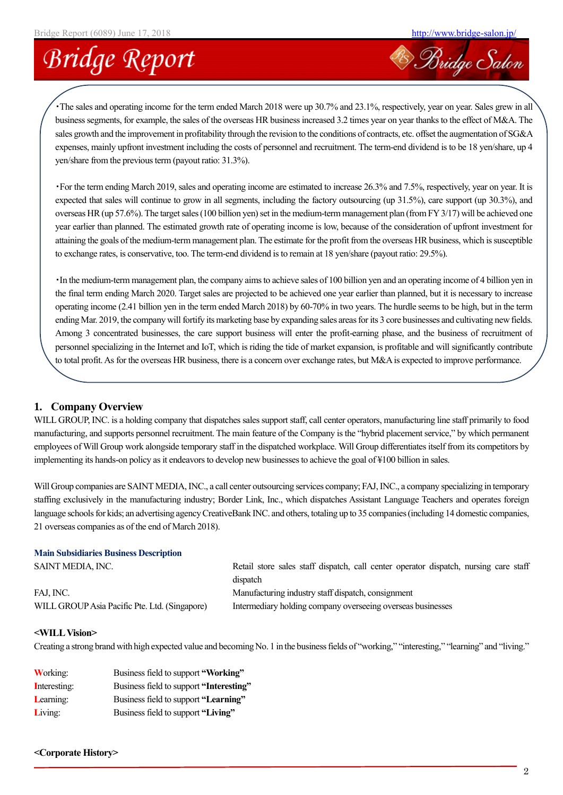<sup>2</sup> Bridge Salon

# **Bridge Report**

・The sales and operating income for the term ended March 2018 were up 30.7% and 23.1%, respectively, year on year. Sales grew in all business segments, for example, the sales of the overseas HR business increased 3.2 times year on year thanks to the effect of M&A. The sales growth and the improvement in profitability through the revision to the conditions of contracts, etc. offset the augmentation of SG&A expenses, mainly upfront investment including the costs of personnel and recruitment. The term-end dividend is to be 18 yen/share, up 4 yen/share from the previous term (payout ratio: 31.3%).

・For the term ending March 2019, sales and operating income are estimated to increase 26.3% and 7.5%, respectively, year on year. It is expected that sales will continue to grow in all segments, including the factory outsourcing (up 31.5%), care support (up 30.3%), and overseas HR (up 57.6%). The target sales (100 billion yen) set in the medium-term management plan (from FY 3/17) will be achieved one year earlier than planned. The estimated growth rate of operating income is low, because of the consideration of upfront investment for attaining the goals of the medium-term management plan. The estimate for the profit from the overseas HR business, which is susceptible to exchange rates, is conservative, too. The term-end dividend is to remain at 18 yen/share (payout ratio: 29.5%).

・In the medium-term management plan, the company aims to achieve sales of 100 billion yen and an operating income of 4 billion yen in the final term ending March 2020. Target sales are projected to be achieved one year earlier than planned, but it is necessary to increase operating income (2.41 billion yen in the term ended March 2018) by 60-70% in two years. The hurdle seems to be high, but in the term ending Mar. 2019, the company will fortify its marketing base by expanding sales areas for its 3 core businesses and cultivating new fields. Among 3 concentrated businesses, the care support business will enter the profit-earning phase, and the business of recruitment of personnel specializing in the Internet and IoT, which is riding the tide of market expansion, is profitable and will significantly contribute to total profit. As for the overseas HR business, there is a concern over exchange rates, but M&A is expected to improve performance.

### **1. Company Overview**

WILL GROUP, INC. is a holding company that dispatches sales support staff, call center operators, manufacturing line staff primarily to food manufacturing, and supports personnel recruitment. The main feature of the Company is the "hybrid placement service," by which permanent employees of Will Group work alongside temporary staff in the dispatched workplace. Will Group differentiates itself from its competitors by implementing its hands-on policy as it endeavors to develop new businesses to achieve the goal of ¥100 billion in sales.

Will Group companies are SAINT MEDIA, INC., a call center outsourcing services company; FAJ,INC., a company specializing in temporary staffing exclusively in the manufacturing industry; Border Link, Inc., which dispatches Assistant Language Teachers and operates foreign language schools for kids; an advertising agency CreativeBank INC. and others, totaling up to 35 companies (including 14 domestic companies, 21 overseas companies as of the end of March 2018).

#### **Main Subsidiaries Business Description** SAINT MEDIA, INC. The retail store sales staff dispatch, call center operator dispatch, nursing care staff dispatch FAJ, INC. Manufacturing industry staff dispatch, consignment

WILL GROUP Asia Pacific Pte. Ltd. (Singapore) Intermediary holding company overseeing overseas businesses

#### **<WILLVision>**

Creating a strong brand with high expected value and becoming No. 1 in the business fields of "working," "interesting," "learning" and "living."

| <b>Working:</b> | Business field to support "Working"     |
|-----------------|-----------------------------------------|
| Interesting:    | Business field to support "Interesting" |
| Learning:       | Business field to support "Learning"    |
| Living:         | Business field to support "Living"      |

#### **<Corporate History>**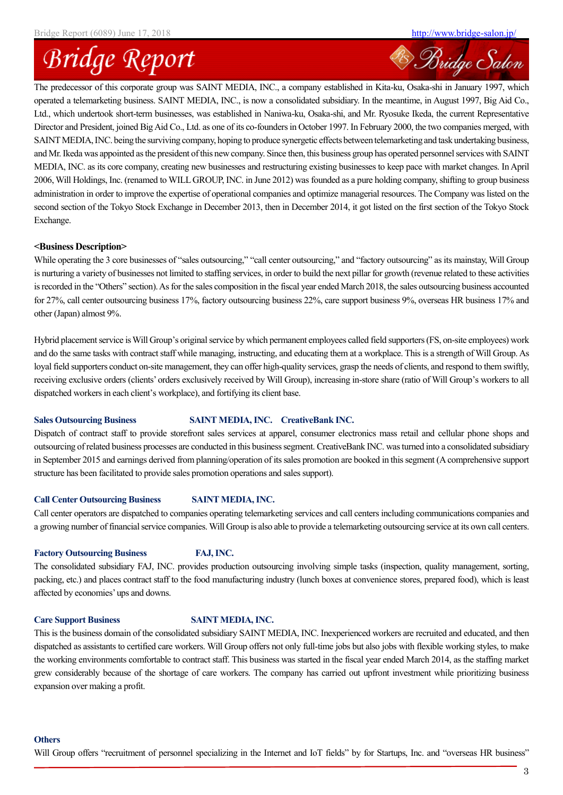Bridge Salon

### **Bridge Report**

The predecessor of this corporate group was SAINT MEDIA, INC., a company established in Kita-ku, Osaka-shi in January 1997, which operated a telemarketing business. SAINT MEDIA, INC., is now a consolidated subsidiary. In the meantime, in August 1997, Big Aid Co., Ltd., which undertook short-term businesses, was established in Naniwa-ku, Osaka-shi, and Mr. Ryosuke Ikeda, the current Representative Director and President, joined Big Aid Co., Ltd. as one of its co-founders in October 1997. In February 2000, the two companies merged, with SAINT MEDIA, INC. being the surviving company, hoping to produce synergetic effects between telemarketing and task undertaking business, and Mr. Ikeda was appointed as the president of this new company. Since then, this business group has operated personnel services with SAINT MEDIA, INC. as its core company, creating new businesses and restructuring existing businesses to keep pace with market changes. In April 2006, Will Holdings, Inc. (renamed to WILL GROUP, INC. in June 2012) was founded as a pure holding company, shifting to group business administration in order to improve the expertise of operational companies and optimize managerial resources. The Company was listed on the second section of the Tokyo Stock Exchange in December 2013, then in December 2014, it got listed on the first section of the Tokyo Stock Exchange.

#### **<Business Description>**

While operating the 3 core businesses of "sales outsourcing," "call center outsourcing," and "factory outsourcing" as its mainstay, Will Group is nurturing a variety of businesses not limited to staffing services, in order to build the next pillar for growth (revenue related to these activities is recorded in the "Others" section). As for the sales composition in the fiscal year ended March 2018, the sales outsourcing business accounted for 27%, call center outsourcing business 17%, factory outsourcing business 22%, care support business 9%, overseas HR business 17% and other (Japan) almost 9%.

Hybrid placement service is Will Group's original service by which permanent employees called field supporters(FS, on-site employees) work and do the same tasks with contract staff while managing, instructing, and educating them at a workplace. This is a strength of Will Group. As loyal field supporters conduct on-site management, they can offer high-quality services, grasp the needs of clients, and respond to them swiftly, receiving exclusive orders (clients' orders exclusively received by Will Group), increasing in-store share (ratio of Will Group's workers to all dispatched workers in each client's workplace), and fortifying its client base.

#### Sales Outsourcing Business SAINT MEDIA, INC. CreativeBank INC.

Dispatch of contract staff to provide storefront sales services at apparel, consumer electronics mass retail and cellular phone shops and outsourcing of related business processes are conducted in this business segment. CreativeBank INC. was turned into a consolidated subsidiary in September 2015 and earnings derived from planning/operation of its sales promotion are booked in this segment (A comprehensive support structure has been facilitated to provide sales promotion operations and sales support).

#### **Call Center Outsourcing Business SAINT MEDIA, INC.**

Call center operators are dispatched to companies operating telemarketing services and call centers including communications companies and a growing number of financial service companies. Will Group is also able to provide a telemarketing outsourcing service at its own call centers.

#### **Factory Outsourcing Business FAJ, INC.**

The consolidated subsidiary FAJ, INC. provides production outsourcing involving simple tasks (inspection, quality management, sorting, packing, etc.) and places contract staff to the food manufacturing industry (lunch boxes at convenience stores, prepared food), which is least affected by economies' ups and downs.

#### **Care Support Business SAINT MEDIA, INC.**

This is the business domain of the consolidated subsidiary SAINT MEDIA, INC. Inexperienced workers are recruited and educated, and then dispatched as assistants to certified care workers. Will Group offers not only full-time jobs but also jobs with flexible working styles, to make the working environments comfortable to contract staff. This business was started in the fiscal year ended March 2014, as the staffing market grew considerably because of the shortage of care workers. The company has carried out upfront investment while prioritizing business expansion over making a profit.

#### **Others**

Will Group offers "recruitment of personnel specializing in the Internet and IoT fields" by for Startups, Inc. and "overseas HR business"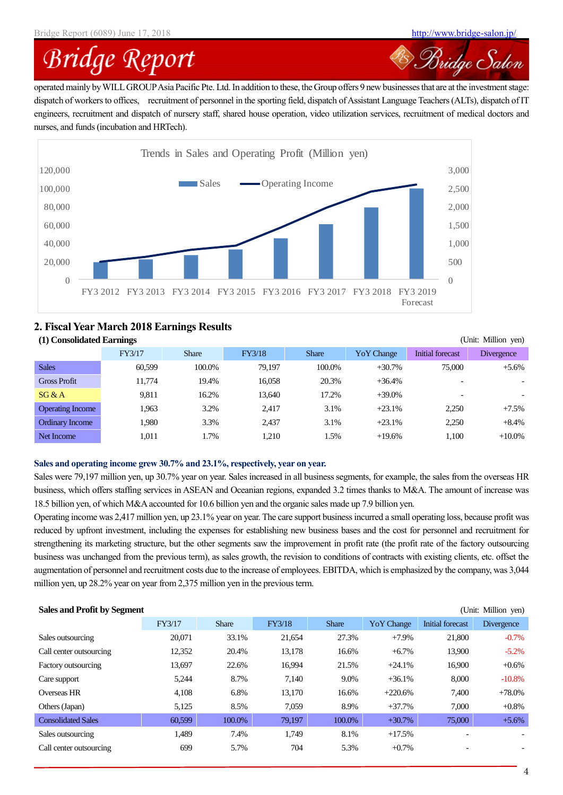<sup>28</sup> Bridge Salon

# **Bridge Report**

operated mainly by WILLGROUPAsia Pacific Pte. Ltd. In addition to these, the Group offers 9 new businesses that are at the investment stage: dispatch of workers to offices, recruitment of personnel in the sporting field, dispatch of Assistant Language Teachers (ALTs), dispatch of IT engineers, recruitment and dispatch of nursery staff, shared house operation, video utilization services, recruitment of medical doctors and nurses, and funds (incubation and HRTech).



### **2. Fiscal Year March 2018 Earnings Results**

| (1) Consolidated Earnings<br>(Unit: Million yen) |        |              |               |              |             |                          |                          |  |  |  |  |
|--------------------------------------------------|--------|--------------|---------------|--------------|-------------|--------------------------|--------------------------|--|--|--|--|
|                                                  | FY3/17 | <b>Share</b> | <b>FY3/18</b> | <b>Share</b> | Yo Y Change | Initial forecast         | <b>Divergence</b>        |  |  |  |  |
| <b>Sales</b>                                     | 60.599 | 100.0%       | 79.197        | 100.0%       | $+30.7%$    | 75,000                   | $+5.6%$                  |  |  |  |  |
| <b>Gross Profit</b>                              | 11.774 | 19.4%        | 16.058        | 20.3%        | $+36.4%$    | $\overline{\phantom{0}}$ | $\overline{\phantom{a}}$ |  |  |  |  |
| SG & A                                           | 9.811  | 16.2%        | 13.640        | 17.2%        | $+39.0\%$   |                          | $\overline{\phantom{a}}$ |  |  |  |  |
| <b>Operating Income</b>                          | 1.963  | 3.2%         | 2.417         | 3.1%         | $+23.1%$    | 2.250                    | $+7.5%$                  |  |  |  |  |
| Ordinary Income                                  | 1.980  | 3.3%         | 2.437         | 3.1%         | $+23.1%$    | 2.250                    | $+8.4%$                  |  |  |  |  |
| Net Income                                       | 1.011  | 1.7%         | 1.210         | 1.5%         | $+19.6%$    | 1.100                    | $+10.0\%$                |  |  |  |  |

### **Sales and operating income grew 30.7% and 23.1%, respectively, year on year.**

Sales were 79,197 million yen, up 30.7% year on year. Sales increased in all business segments, for example, the sales from the overseas HR business, which offers staffing services in ASEAN and Oceanian regions, expanded 3.2 times thanks to M&A. The amount of increase was 18.5 billion yen, of which M&A accounted for 10.6 billion yen and the organic sales made up 7.9 billion yen.

Operating income was 2,417 million yen, up 23.1% year on year. The care support business incurred a small operating loss, because profit was reduced by upfront investment, including the expenses for establishing new business bases and the cost for personnel and recruitment for strengthening its marketing structure, but the other segments saw the improvement in profit rate (the profit rate of the factory outsourcing business was unchanged from the previous term), as sales growth, the revision to conditions of contracts with existing clients, etc. offset the augmentation of personnel and recruitment costs due to the increase of employees. EBITDA, which is emphasized by the company, was 3,044 million yen, up 28.2% year on year from 2,375 million yen in the previous term.

| <b>Sales and Profit by Segment</b><br>(Unit: Million yen) |        |              |        |              |             |                          |                   |  |  |  |  |
|-----------------------------------------------------------|--------|--------------|--------|--------------|-------------|--------------------------|-------------------|--|--|--|--|
|                                                           | FY3/17 | <b>Share</b> | FY3/18 | <b>Share</b> | Yo Y Change | Initial forecast         | <b>Divergence</b> |  |  |  |  |
| Sales outsourcing                                         | 20,071 | 33.1%        | 21,654 | 27.3%        | $+7.9%$     | 21,800                   | $-0.7\%$          |  |  |  |  |
| Call center outsourcing                                   | 12,352 | 20.4%        | 13,178 | 16.6%        | $+6.7\%$    | 13,900                   | $-5.2\%$          |  |  |  |  |
| Factory outsourcing                                       | 13,697 | 22.6%        | 16,994 | 21.5%        | $+24.1%$    | 16,900                   | $+0.6%$           |  |  |  |  |
| Care support                                              | 5,244  | 8.7%         | 7,140  | 9.0%         | $+36.1%$    | 8,000                    | $-10.8\%$         |  |  |  |  |
| Overseas HR                                               | 4.108  | 6.8%         | 13,170 | 16.6%        | $+220.6%$   | 7,400                    | $+78.0\%$         |  |  |  |  |
| Others (Japan)                                            | 5,125  | 8.5%         | 7,059  | 8.9%         | $+37.7%$    | 7,000                    | $+0.8\%$          |  |  |  |  |
| <b>Consolidated Sales</b>                                 | 60,599 | 100.0%       | 79,197 | 100.0%       | $+30.7%$    | 75,000                   | $+5.6%$           |  |  |  |  |
| Sales outsourcing                                         | 1,489  | 7.4%         | 1.749  | 8.1%         | $+17.5%$    | $\overline{\phantom{0}}$ |                   |  |  |  |  |
| Call center outsourcing                                   | 699    | 5.7%         | 704    | 5.3%         | $+0.7\%$    | $\qquad \qquad$          |                   |  |  |  |  |
|                                                           |        |              |        |              |             |                          |                   |  |  |  |  |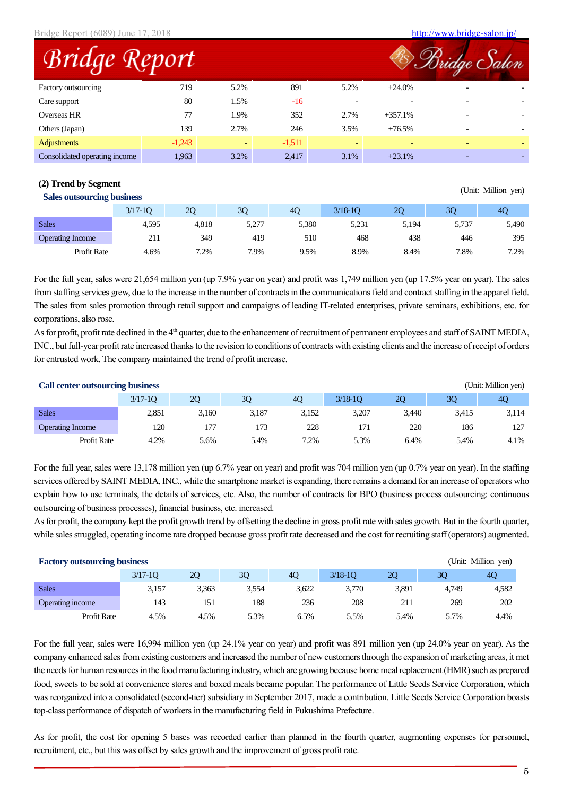Bridge Report (6089) June 17, 2018 <http://www.bridge-salon.jp/>

(Unit: Million yen)

| <b>Bridge Report</b>          |          |      |          |      |                          |                          | lge <i>Salon</i> |
|-------------------------------|----------|------|----------|------|--------------------------|--------------------------|------------------|
| Factory outsourcing           | 719      | 5.2% | 891      | 5.2% | $+24.0\%$                |                          |                  |
| Care support                  | 80       | 1.5% | $-16$    |      |                          |                          |                  |
| Overseas HR                   | 77       | 1.9% | 352      | 2.7% | $+357.1%$                | $\overline{\phantom{0}}$ |                  |
| Others (Japan)                | 139      | 2.7% | 246      | 3.5% | $+76.5%$                 | $\overline{\phantom{0}}$ |                  |
| <b>Adjustments</b>            | $-1,243$ |      | $-1,511$ |      | $\overline{\phantom{0}}$ |                          |                  |
| Consolidated operating income | 1,963    | 3.2% | 2.417    | 3.1% | $+23.1%$                 |                          |                  |

#### **(2) Trend by Segment**

| <b>Dance Outsour can't business</b> |             |       |       |       |             |       |       |       |
|-------------------------------------|-------------|-------|-------|-------|-------------|-------|-------|-------|
|                                     | $3/17 - 10$ | 20    | 30    | 40    | $3/18 - 10$ | 20    | 30    | 40    |
| <b>Sales</b>                        | 4.595       | 4.818 | 5.277 | 5,380 | 5.231       | 5,194 | 5,737 | 5,490 |
| <b>Operating Income</b>             | 211         | 349   | 419   | 510   | 468         | 438   | 446   | 395   |
| Profit Rate                         | 4.6%        | 7.2%  | 7.9%  | 9.5%  | 8.9%        | 8.4%  | 7.8%  | 7.2%  |

For the full year, sales were 21,654 million yen (up 7.9% year on year) and profit was 1,749 million yen (up 17.5% year on year). The sales from staffing services grew, due to the increase in the number of contractsin the communications field and contractstaffing in the apparel field. The sales from sales promotion through retail support and campaigns of leading IT-related enterprises, private seminars, exhibitions, etc. for corporations, also rose.

As for profit, profit rate declined in the 4<sup>th</sup> quarter, due to the enhancement of recruitment of permanent employees and staff of SAINT MEDIA, INC., but full-year profit rate increased thanks to the revision to conditions of contracts with existing clients and the increase of receipt of orders for entrusted work. The company maintained the trend of profit increase.

| <b>Call center outsourcing business</b><br>(Unit: Million yen) |             |       |       |       |             |       |       |       |  |
|----------------------------------------------------------------|-------------|-------|-------|-------|-------------|-------|-------|-------|--|
|                                                                | $3/17 - 10$ | 2Q    | 3Q    | 40    | $3/18 - 10$ | 20    | 30    | 40    |  |
| <b>Sales</b>                                                   | 2.851       | 3.160 | 3.187 | 3.152 | 3.207       | 3.440 | 3,415 | 3,114 |  |
| <b>Operating Income</b>                                        | 120         | 177   | 173   | 228   | 171         | 220   | 186   | 127   |  |
| Profit Rate                                                    | 4.2%        | 5.6%  | 5.4%  | 7.2%  | 5.3%        | 6.4%  | 5.4%  | 4.1%  |  |

For the full year, sales were 13,178 million yen (up 6.7% year on year) and profit was 704 million yen (up 0.7% year on year). In the staffing services offered by SAINT MEDIA, INC., while the smartphone market is expanding, there remains a demand for an increase of operators who explain how to use terminals, the details of services, etc. Also, the number of contracts for BPO (business process outsourcing: continuous outsourcing of business processes), financial business, etc. increased.

As for profit, the company kept the profit growth trend by offsetting the decline in gross profit rate with sales growth. But in the fourth quarter, while sales struggled, operating income rate dropped because gross profit rate decreased and the cost for recruiting staff (operators) augmented.

| (Unit: Million yen)<br><b>Factory outsourcing business</b> |             |       |       |       |             |       |       |       |
|------------------------------------------------------------|-------------|-------|-------|-------|-------------|-------|-------|-------|
|                                                            | $3/17 - 10$ | 20    | 3Q    | 40    | $3/18 - 10$ | 20    | 30    | 4C    |
| <b>Sales</b>                                               | 3,157       | 3.363 | 3.554 | 3,622 | 3.770       | 3,891 | 4.749 | 4,582 |
| Operating income                                           | 143         | 151   | 188   | 236   | 208         | 211   | 269   | 202   |
| <b>Profit Rate</b>                                         | 4.5%        | 4.5%  | 5.3%  | 6.5%  | 5.5%        | 5.4%  | 5.7%  | 4.4%  |

For the full year, sales were 16,994 million yen (up 24.1% year on year) and profit was 891 million yen (up 24.0% year on year). As the company enhanced sales from existing customers and increased the number of new customers through the expansion of marketing areas, it met the needs for human resources in the food manufacturing industry, which are growing because home meal replacement (HMR) such as prepared food, sweets to be sold at convenience stores and boxed meals became popular. The performance of Little Seeds Service Corporation, which was reorganized into a consolidated (second-tier) subsidiary in September 2017, made a contribution. Little Seeds Service Corporation boasts top-class performance of dispatch of workers in the manufacturing field in Fukushima Prefecture.

As for profit, the cost for opening 5 bases was recorded earlier than planned in the fourth quarter, augmenting expenses for personnel, recruitment, etc., but this was offset by sales growth and the improvement of gross profit rate.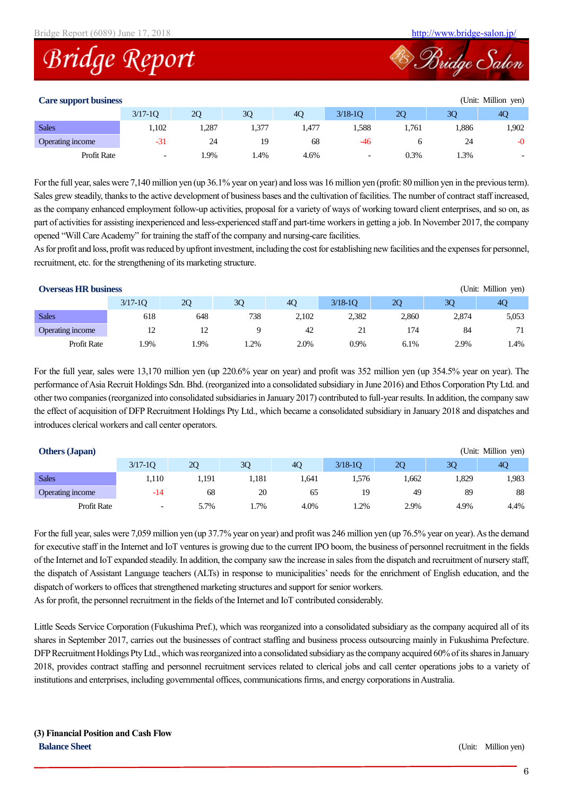



#### **Care support business** (Unit: Million yen)

| Care support business |                          |      |       |       |                          |      |      | $\overline{C}$ |
|-----------------------|--------------------------|------|-------|-------|--------------------------|------|------|----------------|
|                       | $3/17 - 10$              | 20   | 30    | 40    | $3/18 - 10$              | 20   | 30   | 40             |
| <b>Sales</b>          | 1,102                    | .287 | 1,377 | 1,477 | .588                     | .761 | .886 | 1,902          |
| Operating income      | $-31$                    | 24   |       | 68    | -46                      |      | 24   | $-0$           |
| <b>Profit Rate</b>    | $\overline{\phantom{0}}$ | 1.9% | 1.4%  | 4.6%  | $\overline{\phantom{0}}$ | 0.3% | 1.3% | -              |

For the full year, sales were 7,140 million yen (up 36.1% year on year) and loss was 16 million yen (profit: 80 million yen in the previous term). Sales grew steadily, thanks to the active development of business bases and the cultivation of facilities. The number of contractstaff increased, as the company enhanced employment follow-up activities, proposal for a variety of ways of working toward client enterprises, and so on, as part of activities for assisting inexperienced and less-experienced staff and part-time workers in getting a job. In November 2017, the company opened "Will Care Academy" for training the staff of the company and nursing-care facilities.

As for profit and loss, profit was reduced by upfront investment, including the cost for establishing new facilities and the expenses for personnel, recruitment, etc. for the strengthening of its marketing structure.

| <b>Overseas HR business</b><br>(Unit: Million yen) |             |     |     |       |             |           |       |                |  |
|----------------------------------------------------|-------------|-----|-----|-------|-------------|-----------|-------|----------------|--|
|                                                    | $3/17 - 10$ | 20  | 30  | 40    | $3/18 - 10$ | <b>20</b> | 30    | 4 <sub>O</sub> |  |
| <b>Sales</b>                                       | 618         | 648 | 738 | 2.102 | 2.382       | 2.860     | 2.874 | 5,053          |  |
| Operating income                                   | 12          | 12  |     | 42    | 21          | 174       | 84    | 71             |  |
| Profit Rate                                        | .9%         | .9% | .2% | 2.0%  | 0.9%        | 6.1%      | 2.9%  | 1.4%           |  |

For the full year, sales were 13,170 million yen (up 220.6% year on year) and profit was 352 million yen (up 354.5% year on year). The performance of Asia Recruit Holdings Sdn. Bhd. (reorganized into a consolidated subsidiary in June 2016) and Ethos Corporation Pty Ltd. and other two companies (reorganized into consolidated subsidiaries in January 2017) contributed to full-year results. In addition, the company saw the effect of acquisition of DFP Recruitment Holdings Pty Ltd., which became a consolidated subsidiary in January 2018 and dispatches and introduces clerical workers and call center operators.

| <b>Others (Japan)</b> |                          |       |       |       |             |      |      | (Unit: Million yen) |
|-----------------------|--------------------------|-------|-------|-------|-------------|------|------|---------------------|
|                       | $3/17 - 10$              | 2Q    | 30    | 40    | $3/18 - 10$ | 20   | 30   | 40                  |
| <b>Sales</b>          | 1.110                    | 1.191 | l.181 | l.641 | .576        | .662 | .329 | 1,983               |
| Operating income      | $-14$                    | 68    | 20    | 65    | 19          | 49   | 89   | 88                  |
| Profit Rate           | $\overline{\phantom{0}}$ | 5.7%  | .7%   | 4.0%  | 1.2%        | 2.9% | 4.9% | 4.4%                |

For the full year, sales were 7,059 million yen (up 37.7% year on year) and profit was 246 million yen (up 76.5% year on year). As the demand for executive staff in the Internet and IoT ventures is growing due to the current IPO boom, the business of personnel recruitment in the fields of the Internet and IoT expanded steadily. In addition, the company saw the increase in sales from the dispatch and recruitment of nursery staff, the dispatch of Assistant Language teachers (ALTs) in response to municipalities' needs for the enrichment of English education, and the dispatch of workers to offices that strengthened marketing structures and support for senior workers.

As for profit, the personnel recruitment in the fields of the Internet and IoT contributed considerably.

Little Seeds Service Corporation (Fukushima Pref.), which was reorganized into a consolidated subsidiary as the company acquired all of its shares in September 2017, carries out the businesses of contract staffing and business process outsourcing mainly in Fukushima Prefecture. DFP Recruitment Holdings Pty Ltd., which was reorganized into a consolidated subsidiary as the company acquired 60% of its shares in January 2018, provides contract staffing and personnel recruitment services related to clerical jobs and call center operations jobs to a variety of institutions and enterprises, including governmental offices, communications firms, and energy corporations in Australia.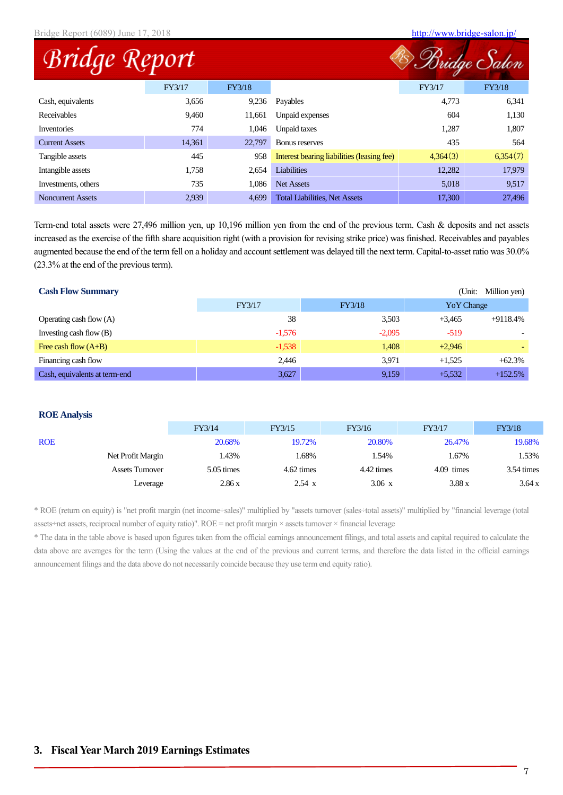|                          | Bridge Report (6089) June 17, 2018 |        |                                            |          |          |
|--------------------------|------------------------------------|--------|--------------------------------------------|----------|----------|
| Bridge Report            |                                    |        |                                            |          |          |
|                          | FY3/17                             | FY3/18 |                                            | FY3/17   | FY3/18   |
| Cash, equivalents        | 3,656                              | 9,236  | Payables                                   | 4,773    | 6,341    |
| Receivables              | 9,460                              | 11,661 | Unpaid expenses                            | 604      | 1,130    |
| <b>Inventories</b>       | 774                                | 1,046  | Unpaid taxes                               | 1,287    | 1,807    |
| <b>Current Assets</b>    | 14,361                             | 22,797 | Bonus reserves                             | 435      | 564      |
| Tangible assets          | 445                                | 958    | Interest bearing liabilities (leasing fee) | 4,364(3) | 6,354(7) |
| Intangible assets        | 1,758                              | 2,654  | Liabilities                                | 12,282   | 17,979   |
| Investments, others      | 735                                | 1,086  | <b>Net Assets</b>                          | 5,018    | 9,517    |
| <b>Noncurrent Assets</b> | 2,939                              | 4,699  | <b>Total Liabilities, Net Assets</b>       | 17,300   | 27,496   |

Term-end total assets were 27,496 million yen, up 10,196 million yen from the end of the previous term. Cash & deposits and net assets increased as the exercise of the fifth share acquisition right (with a provision for revising strike price) was finished. Receivables and payables augmented because the end of the term fell on a holiday and account settlement was delayed till the next term. Capital-to-asset ratio was 30.0% (23.3% at the end of the previous term).

| <b>Cash Flow Summary</b>      |          |          | (Unit:            | Million yen) |
|-------------------------------|----------|----------|-------------------|--------------|
|                               | FY3/17   | FY3/18   | <b>YoY</b> Change |              |
| Operating cash flow (A)       | 38       | 3,503    | $+3.465$          | $+9118.4%$   |
| Investing cash flow (B)       | $-1,576$ | $-2,095$ | $-519$            |              |
| Free cash flow $(A+B)$        | $-1,538$ | 1,408    | $+2,946$          |              |
| Financing cash flow           | 2,446    | 3.971    | $+1.525$          | $+62.3%$     |
| Cash, equivalents at term-end | 3,627    | 9,159    | $+5,532$          | $+152.5%$    |

#### **ROE Analysis**

|            |                        | FY3/14     | FY3/15        | FY3/16           | FY3/17       | FY3/18               |
|------------|------------------------|------------|---------------|------------------|--------------|----------------------|
| <b>ROE</b> |                        | 20.68%     | 19.72%        | 20.80%           | 26.47%       | 19.68%               |
|            | Net Profit Margin      | 1.43%      | .68%          | 1.54%            | 1.67%        | 1.53%                |
|            | <b>Assets Turnover</b> | 5.05 times | 4.62 times    | 4.42 times       | $4.09$ times | $3.54 \text{ times}$ |
|            | Leverage               | 2.86x      | $2.54 \times$ | $3.06 \text{ x}$ | 3.88x        | 3.64 x               |

\* ROE (return on equity) is "net profit margin (net income÷sales)" multiplied by "assets turnover (sales÷total assets)" multiplied by "financial leverage (total assets÷net assets, reciprocal number of equity ratio)". ROE = net profit margin × assets turnover × financial leverage

\* The data in the table above is based upon figures taken from the official earnings announcement filings, and total assets and capital required to calculate the data above are averages for the term (Using the values at the end of the previous and current terms, and therefore the data listed in the official earnings announcement filings and the data above do not necessarily coincide because they use term end equity ratio).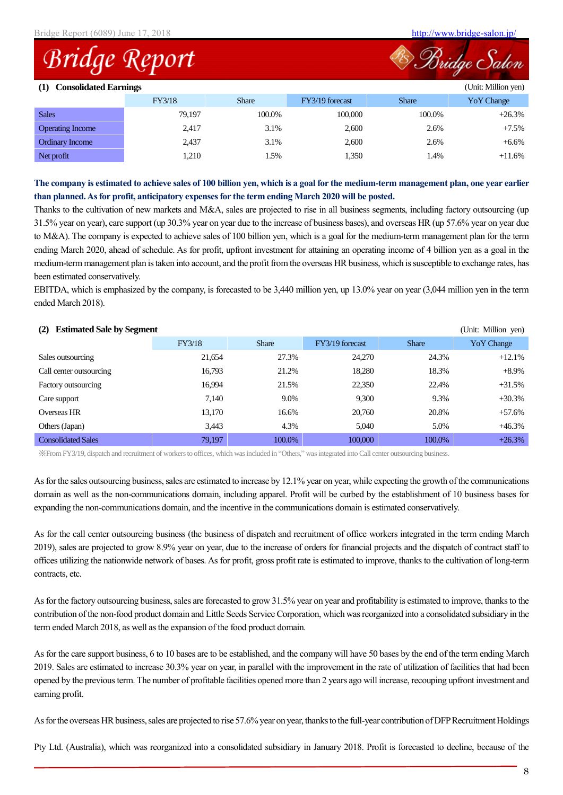Bridge Salon

## **Bridge Report**

| <b>Consolidated Earnings</b><br>(Unit: Million yen)<br>(1) |        |              |                 |              |             |  |  |
|------------------------------------------------------------|--------|--------------|-----------------|--------------|-------------|--|--|
|                                                            | FY3/18 | <b>Share</b> | FY3/19 forecast | <b>Share</b> | Yo Y Change |  |  |
| <b>Sales</b>                                               | 79.197 | 100.0%       | 100,000         | 100.0%       | $+26.3%$    |  |  |
| <b>Operating Income</b>                                    | 2,417  | 3.1%         | 2,600           | 2.6%         | $+7.5%$     |  |  |
| Ordinary Income                                            | 2,437  | 3.1%         | 2,600           | 2.6%         | $+6.6\%$    |  |  |
| Net profit                                                 | 1,210  | 1.5%         | 1,350           | 1.4%         | $+11.6%$    |  |  |

**The company is estimated to achieve sales of 100 billion yen, which is a goal for the medium-term management plan, one year earlier than planned. As for profit, anticipatory expenses for the term ending March 2020 will be posted.**

Thanks to the cultivation of new markets and M&A, sales are projected to rise in all business segments, including factory outsourcing (up 31.5% year on year), care support (up 30.3% year on year due to the increase of business bases), and overseas HR (up 57.6% year on year due to M&A). The company is expected to achieve sales of 100 billion yen, which is a goal for the medium-term management plan for the term ending March 2020, ahead of schedule. As for profit, upfront investment for attaining an operating income of 4 billion yen as a goal in the medium-term management plan is taken into account, and the profit from the overseas HR business, which is susceptible to exchange rates, has been estimated conservatively.

EBITDA, which is emphasized by the company, is forecasted to be 3,440 million yen, up 13.0% year on year (3,044 million yen in the term ended March 2018).

#### **(2) Estimated Sale by Segment** (Unit: Million yen)

|                           | FY3/18 | <b>Share</b> | FY3/19 forecast | <b>Share</b> | Yo Y Change |
|---------------------------|--------|--------------|-----------------|--------------|-------------|
| Sales outsourcing         | 21,654 | 27.3%        | 24,270          | 24.3%        | $+12.1%$    |
| Call center outsourcing   | 16,793 | 21.2%        | 18,280          | 18.3%        | $+8.9\%$    |
| Factory outsourcing       | 16.994 | 21.5%        | 22,350          | 22.4%        | $+31.5%$    |
| Care support              | 7.140  | 9.0%         | 9,300           | 9.3%         | $+30.3%$    |
| Overseas HR               | 13,170 | 16.6%        | 20,760          | 20.8%        | $+57.6%$    |
| Others (Japan)            | 3,443  | 4.3%         | 5.040           | 5.0%         | $+46.3%$    |
| <b>Consolidated Sales</b> | 79,197 | 100.0%       | 100,000         | 100.0%       | $+26.3%$    |

※From FY3/19, dispatch and recruitment of workers to offices, which was included in "Others," was integrated into Call center outsourcing business.

As for the sales outsourcing business, sales are estimated to increase by 12.1% year on year, while expecting the growth of the communications domain as well as the non-communications domain, including apparel. Profit will be curbed by the establishment of 10 business bases for expanding the non-communications domain, and the incentive in the communications domain is estimated conservatively.

As for the call center outsourcing business (the business of dispatch and recruitment of office workers integrated in the term ending March 2019), sales are projected to grow 8.9% year on year, due to the increase of orders for financial projects and the dispatch of contract staff to offices utilizing the nationwide network of bases. As for profit, gross profit rate is estimated to improve, thanks to the cultivation of long-term contracts, etc.

As for the factory outsourcing business, sales are forecasted to grow 31.5% year on year and profitability is estimated to improve, thanks to the contribution of the non-food product domain and Little Seeds Service Corporation, which was reorganized into a consolidated subsidiary in the term ended March 2018, as well as the expansion of the food product domain.

As for the care support business, 6 to 10 bases are to be established, and the company will have 50 bases by the end of the term ending March 2019. Sales are estimated to increase 30.3% year on year, in parallel with the improvement in the rate of utilization of facilities that had been opened by the previous term. The number of profitable facilities opened more than 2 years ago will increase, recouping upfront investment and earning profit.

As for the overseas HR business, sales are projected to rise 57.6% year on year, thanks to the full-year contribution of DFP Recruitment Holdings

Pty Ltd. (Australia), which was reorganized into a consolidated subsidiary in January 2018. Profit is forecasted to decline, because of the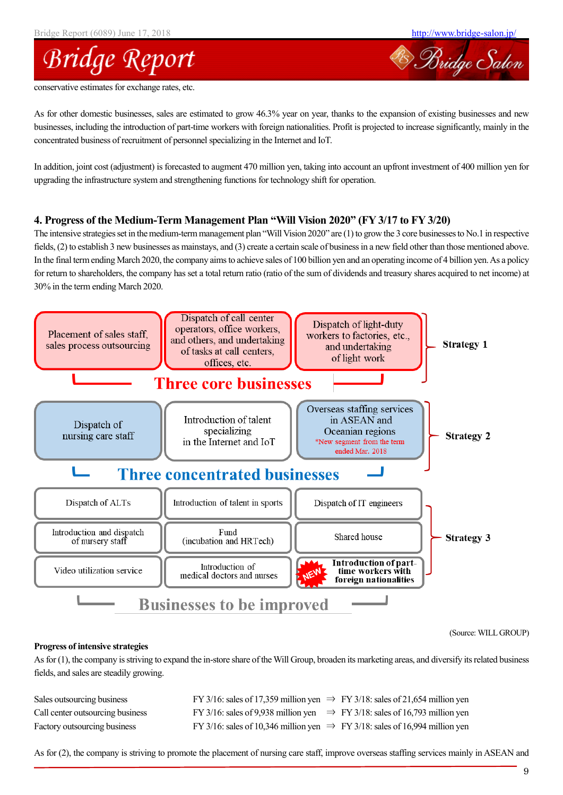Bridge Salon



conservative estimates for exchange rates, etc.

As for other domestic businesses, sales are estimated to grow 46.3% year on year, thanks to the expansion of existing businesses and new businesses, including the introduction of part-time workers with foreign nationalities. Profit is projected to increase significantly, mainly in the concentrated business of recruitment of personnel specializing in the Internet and IoT.

In addition, joint cost (adjustment) is forecasted to augment 470 million yen, taking into account an upfront investment of 400 million yen for upgrading the infrastructure system and strengthening functions for technology shift for operation.

#### **4. Progress of the Medium-Term Management Plan "Will Vision 2020" (FY 3/17 to FY 3/20)**

The intensive strategies set in the medium-term management plan "Will Vision 2020" are (1) to grow the 3 core businesses to No.1 in respective fields, (2) to establish 3 new businesses as mainstays, and (3) create a certain scale of business in a new field other than those mentioned above. In the final term ending March 2020, the company aims to achieve sales of 100 billion yen and an operating income of 4 billion yen. As a policy for return to shareholders, the company has set a total return ratio (ratio of the sum of dividends and treasury shares acquired to net income) at 30% in the term ending March 2020.



(Source: WILL GROUP)

#### **Progress of intensive strategies**

As for (1), the company is striving to expand the in-store share of the Will Group, broaden its marketing areas, and diversify its related business fields, and sales are steadily growing.

| Sales outsourcing business       | FY 3/16: sales of 17,359 million yen $\Rightarrow$ FY 3/18: sales of 21,654 million yen |  |
|----------------------------------|-----------------------------------------------------------------------------------------|--|
| Call center outsourcing business | FY 3/16: sales of 9,938 million yen $\Rightarrow$ FY 3/18: sales of 16,793 million yen  |  |
| Factory outsourcing business     | FY 3/16: sales of 10,346 million yen $\Rightarrow$ FY 3/18: sales of 16,994 million yen |  |

As for (2), the company is striving to promote the placement of nursing care staff, improve overseas staffing services mainly in ASEAN and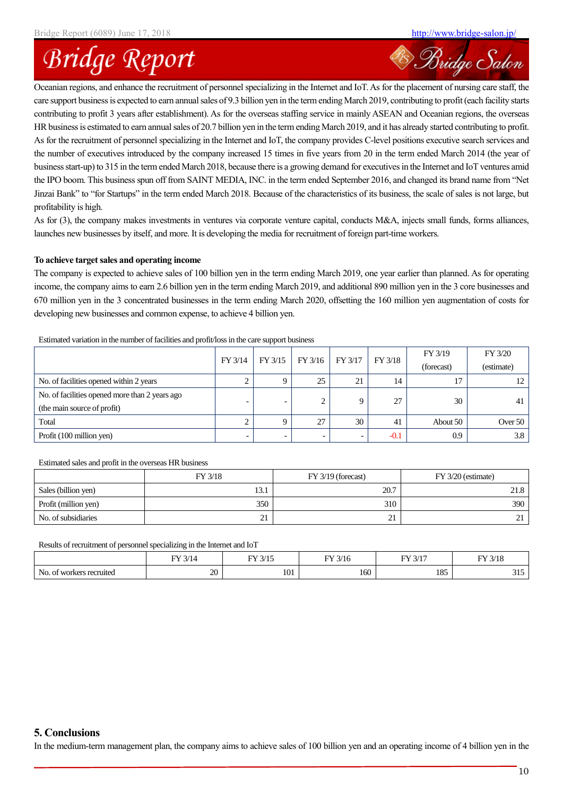<sup>28</sup> Bridge Salon

# **Bridge Report**

Oceanian regions, and enhance the recruitment of personnel specializing in the Internet and IoT. As for the placement of nursing care staff, the care support business is expected to earn annual sales of 9.3 billion yen in the term ending March 2019, contributing to profit (each facility starts contributing to profit 3 years after establishment). As for the overseas staffing service in mainly ASEAN and Oceanian regions, the overseas HR business is estimated to earn annual sales of 20.7 billion yen in the term ending March 2019, and it has already started contributing to profit. As for the recruitment of personnel specializing in the Internet and IoT, the company provides C-level positions executive search services and the number of executives introduced by the company increased 15 times in five years from 20 in the term ended March 2014 (the year of business start-up) to 315 in the term ended March 2018, because there is a growing demand for executives in the Internet and IoT ventures amid the IPO boom. This business spun off from SAINT MEDIA, INC. in the term ended September 2016, and changed its brand name from "Net Jinzai Bank" to "for Startups" in the term ended March 2018. Because of the characteristics of its business, the scale of sales is not large, but profitability is high.

As for (3), the company makes investments in ventures via corporate venture capital, conducts M&A, injects small funds, forms alliances, launches new businesses by itself, and more. It is developing the media for recruitment of foreign part-time workers.

#### **To achieve target sales and operating income**

The company is expected to achieve sales of 100 billion yen in the term ending March 2019, one year earlier than planned. As for operating income, the company aims to earn 2.6 billion yen in the term ending March 2019, and additional 890 million yen in the 3 core businesses and 670 million yen in the 3 concentrated businesses in the term ending March 2020, offsetting the 160 million yen augmentation of costs for developing new businesses and common expense, to achieve 4 billion yen.

|                                                | FY 3/14                  | FY 3/15 | FY 3/16 | FY 3/17 | FY 3/18 | FY 3/19    | FY 3/20    |
|------------------------------------------------|--------------------------|---------|---------|---------|---------|------------|------------|
|                                                |                          |         |         |         |         | (forecast) | (estimate) |
| No. of facilities opened within 2 years        |                          |         | 25      | 21      | 14      | 17         |            |
| No. of facilities opened more than 2 years ago |                          |         |         |         | 27      | 30         | 41         |
| (the main source of profit)                    |                          |         |         |         |         |            |            |
| Total                                          |                          |         | 27      | 30      | 41      | About 50   | Over 50    |
| Profit (100 million yen)                       | $\overline{\phantom{0}}$ |         |         |         | $-0.1$  | 0.9        | 3.8        |

Estimated variation in the number of facilities and profit/loss in the care support business

#### Estimated sales and profit in the overseas HR business

|                      | FY 3/18  | $FY$ 3/19 (forecast) | FY 3/20 (estimate) |
|----------------------|----------|----------------------|--------------------|
| Sales (billion yen)  | 13.1     | 20.7                 | 21.8               |
| Profit (million yen) | 350      | 310                  | 390                |
| No. of subsidiaries  | 21<br>∠⊥ | $\sim$<br>$\sim$ 1   |                    |

Results of recruitment of personnel specializing in the Internet and IoT

|                                  | $T \bigcap I$<br>--<br>$\overline{\phantom{a}}$ | $\Gamma V \Omega / 15$<br>n.<br>ن د اب | $2.11 - 1.2$<br><b>TW</b><br>10 | $\Gamma N Z 2/17$ | FY 3/18                           |
|----------------------------------|-------------------------------------------------|----------------------------------------|---------------------------------|-------------------|-----------------------------------|
| No.<br>of workers recruited<br>. | $\bigcap$<br><b>ZU</b>                          | 101                                    | 160                             | 105<br>102        | $\sim$ $\sim$<br>- 21 - 21<br>. . |

#### **5. Conclusions**

In the medium-term management plan, the company aims to achieve sales of 100 billion yen and an operating income of 4 billion yen in the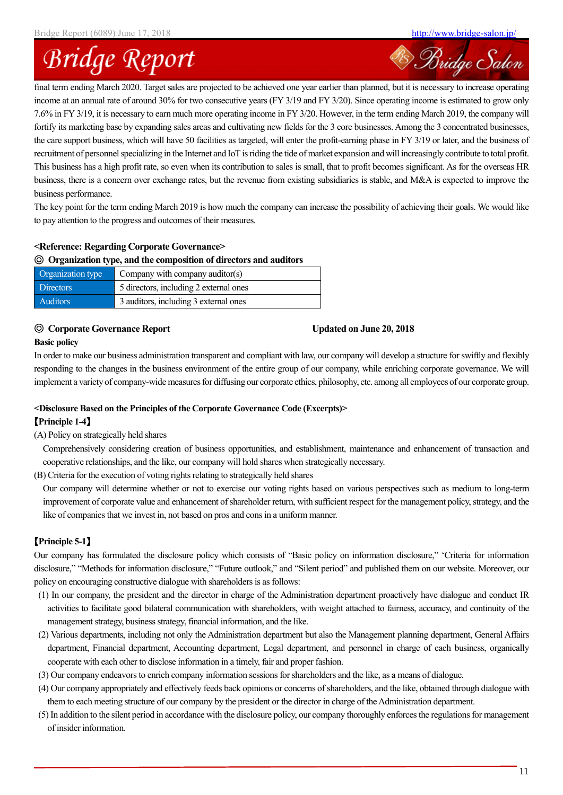**B** Bridge Salon

# **Bridge Report**

final term ending March 2020. Target sales are projected to be achieved one year earlier than planned, but it is necessary to increase operating income at an annual rate of around 30% for two consecutive years (FY 3/19 and FY 3/20). Since operating income is estimated to grow only 7.6% in FY 3/19, it is necessary to earn much more operating income in FY 3/20. However, in the term ending March 2019, the company will fortify its marketing base by expanding sales areas and cultivating new fields for the 3 core businesses. Among the 3 concentrated businesses, the care support business, which will have 50 facilities as targeted, will enter the profit-earning phase in FY 3/19 or later, and the business of recruitment of personnel specializing in the Internet and IoT is riding the tide of market expansion and will increasingly contribute to total profit. This business has a high profit rate, so even when its contribution to sales is small, that to profit becomes significant. As for the overseas HR business, there is a concern over exchange rates, but the revenue from existing subsidiaries is stable, and M&A is expected to improve the business performance.

The key point for the term ending March 2019 is how much the company can increase the possibility of achieving their goals. We would like to pay attention to the progress and outcomes of their measures.

#### **<Reference: Regarding Corporate Governance>**

#### ◎ **Organization type, and the composition of directors and auditors**

| Organization type | Company with company auditor(s)        |
|-------------------|----------------------------------------|
| <b>Directors</b>  | 5 directors, including 2 external ones |
| <b>Auditors</b>   | 3 auditors, including 3 external ones  |

### ◎ **Corporate Governance Report Updated on June 20, 2018**

### **Basic policy**

In order to make our business administration transparent and compliant with law, our company will develop a structure for swiftly and flexibly responding to the changes in the business environment of the entire group of our company, while enriching corporate governance. We will implement a variety of company-wide measures for diffusing our corporate ethics, philosophy, etc. among all employees of our corporate group.

#### **<Disclosure Based on the Principles of the Corporate Governance Code (Excerpts)>**

#### 【**Principle 1-4**】

(A) Policy on strategically held shares

Comprehensively considering creation of business opportunities, and establishment, maintenance and enhancement of transaction and cooperative relationships, and the like, our company will hold shares when strategically necessary.

(B) Criteria for the execution of voting rights relating to strategically held shares

Our company will determine whether or not to exercise our voting rights based on various perspectives such as medium to long-term improvement of corporate value and enhancement of shareholder return, with sufficient respect for the management policy, strategy, and the like of companies that we invest in, not based on pros and cons in a uniform manner.

### 【**Principle 5-1**】

Our company has formulated the disclosure policy which consists of "Basic policy on information disclosure," 'Criteria for information disclosure," "Methods for information disclosure," "Future outlook," and "Silent period" and published them on our website. Moreover, our policy on encouraging constructive dialogue with shareholders is as follows:

- (1) In our company, the president and the director in charge of the Administration department proactively have dialogue and conduct IR activities to facilitate good bilateral communication with shareholders, with weight attached to fairness, accuracy, and continuity of the management strategy, business strategy, financial information, and the like.
- (2) Various departments, including not only the Administration department but also the Management planning department, General Affairs department, Financial department, Accounting department, Legal department, and personnel in charge of each business, organically cooperate with each other to disclose information in a timely, fair and proper fashion.
- (3) Our company endeavors to enrich company information sessions for shareholders and the like, as a means of dialogue.
- (4) Our company appropriately and effectively feeds back opinions or concerns of shareholders, and the like, obtained through dialogue with them to each meeting structure of our company by the president or the director in charge of the Administration department.
- (5) In addition to the silent period in accordance with the disclosure policy, our company thoroughly enforces the regulations for management of insider information.